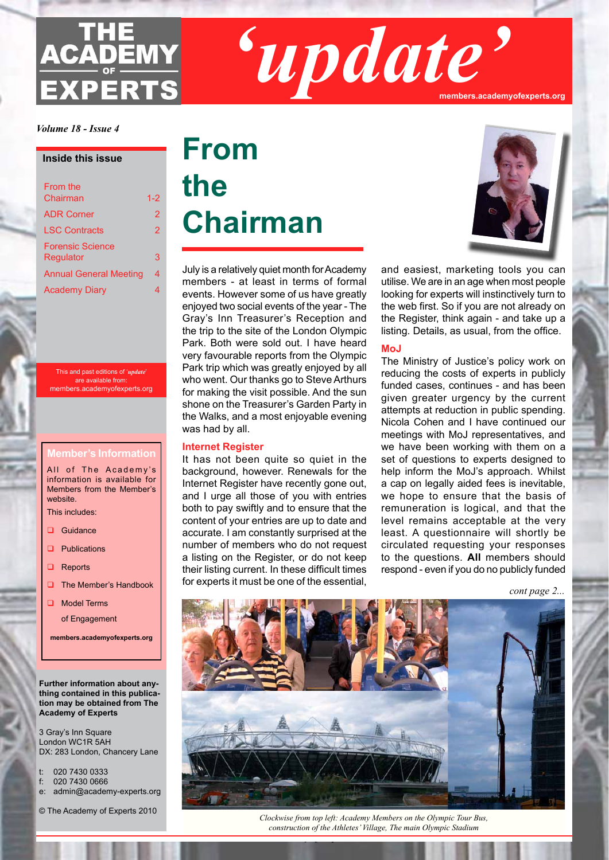# **ACADEMY EXPERTS**

*'update'* **members.academyofexperts.org**

*Volume 18 - Issue 4*

### **Inside this issue**

| From the<br>Chairman          | $1 - 2$ |
|-------------------------------|---------|
| <b>ADR Corner</b>             | 2       |
| <b>LSC Contracts</b>          | 2       |
| Forensic Science<br>Regulator | З       |
| <b>Annual General Meeting</b> | 4       |
| <b>Academy Diary</b>          |         |

This and past editions of '*update*' are available from: members.academyofexperts.org

## **Member's Information**

All of The Academy's information is available for Members from the Member's website.

This includes:

- Guidance
- Publications
- $\Box$  Reports
- $\Box$  The Member's Handbook
- **Q** Model Terms

of Engagement

**members.academyofexperts.org**

#### **Further information about anything contained in this publication may be obtained from The Academy of Experts**

3 Gray's Inn Square London WC1R 5AH DX: 283 London, Chancery Lane

- t: 020 7430 0333
- f: 020 7430 0666
- e: admin@academy-experts.org
- © The Academy of Experts 2010

## **From the Chairman**

July is a relatively quiet month for Academy members - at least in terms of formal events. However some of us have greatly enjoyed two social events of the year - The Gray's Inn Treasurer's Reception and the trip to the site of the London Olympic Park. Both were sold out. I have heard very favourable reports from the Olympic Park trip which was greatly enjoyed by all who went. Our thanks go to Steve Arthurs for making the visit possible. And the sun shone on the Treasurer's Garden Party in the Walks, and a most enjoyable evening was had by all.

#### **Internet Register**

It has not been quite so quiet in the background, however. Renewals for the Internet Register have recently gone out, and I urge all those of you with entries both to pay swiftly and to ensure that the content of your entries are up to date and accurate. I am constantly surprised at the number of members who do not request a listing on the Register, or do not keep their listing current. In these difficult times for experts it must be one of the essential,



and easiest, marketing tools you can utilise. We are in an age when most people looking for experts will instinctively turn to the web first. So if you are not already on the Register, think again - and take up a listing. Details, as usual, from the office.

#### **MoJ**

The Ministry of Justice's policy work on reducing the costs of experts in publicly funded cases, continues - and has been given greater urgency by the current attempts at reduction in public spending. Nicola Cohen and I have continued our meetings with MoJ representatives, and we have been working with them on a set of questions to experts designed to help inform the MoJ's approach. Whilst a cap on legally aided fees is inevitable, we hope to ensure that the basis of remuneration is logical, and that the level remains acceptable at the very least. A questionnaire will shortly be circulated requesting your responses to the questions. **All** members should respond - even if you do no publicly funded

*cont page 2...*



*Clockwise from top left: Academy Members on the Olympic Tour Bus, construction of the Athletes' Village, The main Olympic Stadium*

*The Academy of Experts*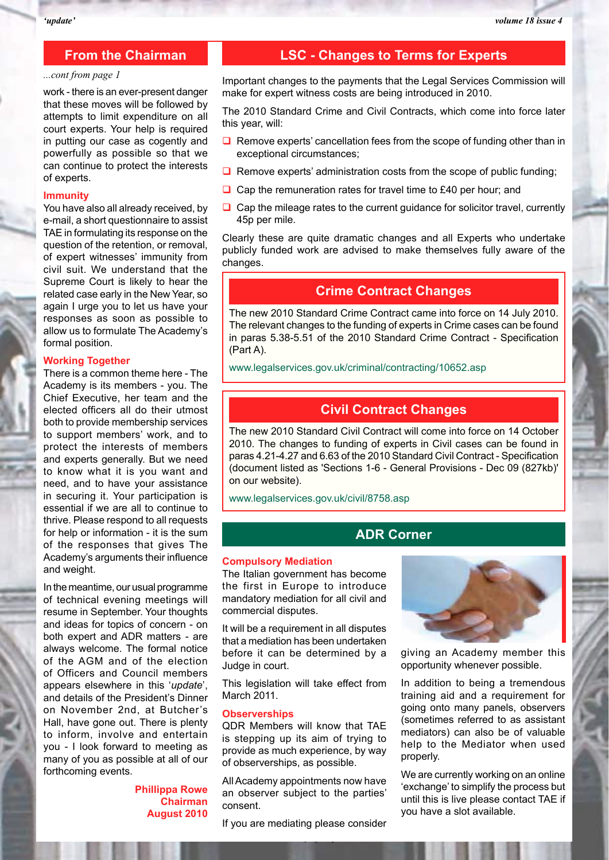## **From the Chairman**

### *...cont from page 1*

work - there is an ever-present danger that these moves will be followed by attempts to limit expenditure on all court experts. Your help is required in putting our case as cogently and powerfully as possible so that we can continue to protect the interests of experts.

#### **Immunity**

You have also all already received, by e-mail, a short questionnaire to assist TAE in formulating its response on the question of the retention, or removal, of expert witnesses' immunity from civil suit. We understand that the Supreme Court is likely to hear the related case early in the New Year, so again I urge you to let us have your responses as soon as possible to allow us to formulate The Academy's formal position.

#### **Working Together**

There is a common theme here - The Academy is its members - you. The Chief Executive, her team and the elected officers all do their utmost both to provide membership services to support members' work, and to protect the interests of members and experts generally. But we need to know what it is you want and need, and to have your assistance in securing it. Your participation is essential if we are all to continue to thrive. Please respond to all requests for help or information - it is the sum of the responses that gives The Academy's arguments their influence and weight.

In the meantime, our usual programme of technical evening meetings will resume in September. Your thoughts and ideas for topics of concern - on both expert and ADR matters - are always welcome. The formal notice of the AGM and of the election of Officers and Council members appears elsewhere in this '*update*', and details of the President's Dinner on November 2nd, at Butcher's Hall, have gone out. There is plenty to inform, involve and entertain you - I look forward to meeting as many of you as possible at all of our forthcoming events.

> **Phillippa Rowe Chairman August 2010**

## **LSC - Changes to Terms for Experts**

Important changes to the payments that the Legal Services Commission will make for expert witness costs are being introduced in 2010.

The 2010 Standard Crime and Civil Contracts, which come into force later this year, will:

- $\Box$  Remove experts' cancellation fees from the scope of funding other than in exceptional circumstances;
- $\Box$  Remove experts' administration costs from the scope of public funding;
- $\Box$  Cap the remuneration rates for travel time to £40 per hour; and
- $\Box$  Cap the mileage rates to the current guidance for solicitor travel, currently 45p per mile.

Clearly these are quite dramatic changes and all Experts who undertake publicly funded work are advised to make themselves fully aware of the changes.

## **Crime Contract Changes**

The new 2010 Standard Crime Contract came into force on 14 July 2010. The relevant changes to the funding of experts in Crime cases can be found in paras 5.38-5.51 of the 2010 Standard Crime Contract - Specification (Part A).

www.legalservices.gov.uk/criminal/contracting/10652.asp

## **Civil Contract Changes**

The new 2010 Standard Civil Contract will come into force on 14 October 2010. The changes to funding of experts in Civil cases can be found in paras 4.21-4.27 and 6.63 of the 2010 Standard Civil Contract - Specification (document listed as 'Sections 1-6 - General Provisions - Dec 09 (827kb)' on our website).

www.legalservices.gov.uk/civil/8758.asp

## **ADR Corner**

#### **Compulsory Mediation**

The Italian government has become the first in Europe to introduce mandatory mediation for all civil and commercial disputes.

It will be a requirement in all disputes that a mediation has been undertaken before it can be determined by a Judge in court.

This legislation will take effect from March 2011.

#### **Observerships**

QDR Members will know that TAE is stepping up its aim of trying to provide as much experience, by way of observerships, as possible.

All Academy appointments now have an observer subject to the parties' consent.

*The Academy of Experts* If you are mediating please consider



giving an Academy member this opportunity whenever possible.

In addition to being a tremendous training aid and a requirement for going onto many panels, observers (sometimes referred to as assistant mediators) can also be of valuable help to the Mediator when used properly.

We are currently working on an online 'exchange' to simplify the process but until this is live please contact TAE if you have a slot available.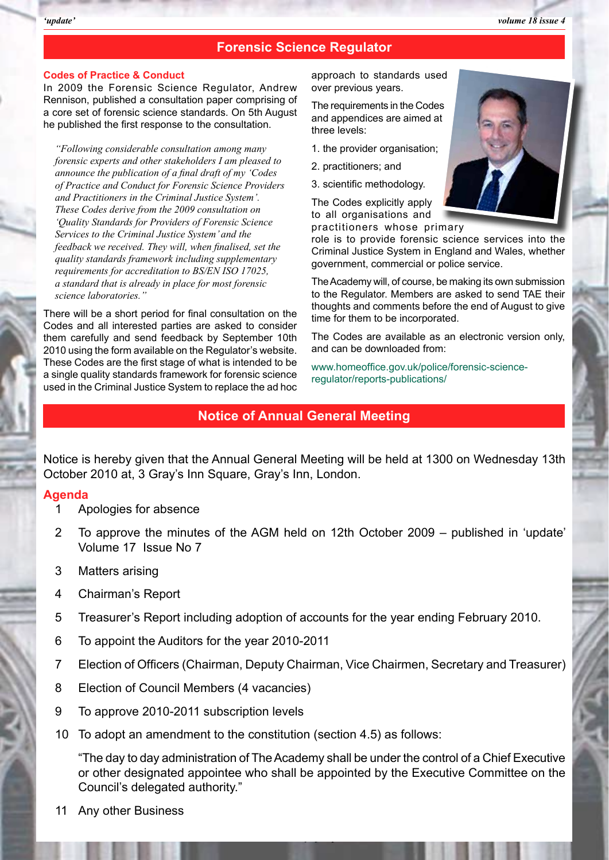## **Forensic Science Regulator**

#### **Codes of Practice & Conduct**

In 2009 the Forensic Science Regulator, Andrew Rennison, published a consultation paper comprising of a core set of forensic science standards. On 5th August he published the first response to the consultation.

*"Following considerable consultation among many forensic experts and other stakeholders I am pleased to announce the publication of a final draft of my 'Codes of Practice and Conduct for Forensic Science Providers and Practitioners in the Criminal Justice System'. These Codes derive from the 2009 consultation on 'Quality Standards for Providers of Forensic Science Services to the Criminal Justice System' and the feedback we received. They will, when finalised, set the quality standards framework including supplementary requirements for accreditation to BS/EN ISO 17025, a standard that is already in place for most forensic science laboratories."*

There will be a short period for final consultation on the Codes and all interested parties are asked to consider them carefully and send feedback by September 10th 2010 using the form available on the Regulator's website. These Codes are the first stage of what is intended to be a single quality standards framework for forensic science used in the Criminal Justice System to replace the ad hoc approach to standards used over previous years.

The requirements in the Codes and appendices are aimed at three levels:

- 1. the provider organisation;
- 2. practitioners; and
- 3. scientific methodology.

The Codes explicitly apply to all organisations and practitioners whose primary

role is to provide forensic science services into the Criminal Justice System in England and Wales, whether government, commercial or police service.

The Academy will, of course, be making its own submission to the Regulator. Members are asked to send TAE their thoughts and comments before the end of August to give time for them to be incorporated.

The Codes are available as an electronic version only, and can be downloaded from:

www.homeoffice.gov.uk/police/forensic-scienceregulator/reports-publications/

## **Notice of Annual General Meeting**

Notice is hereby given that the Annual General Meeting will be held at 1300 on Wednesday 13th October 2010 at, 3 Gray's Inn Square, Gray's Inn, London.

## **Agenda**

- 1 Apologies for absence
- 2 To approve the minutes of the AGM held on 12th October 2009 published in 'update' Volume 17 Issue No 7
- 3 Matters arising
- 4 Chairman's Report
- 5 Treasurer's Report including adoption of accounts for the year ending February 2010.
- 6 To appoint the Auditors for the year 2010-2011
- 7 Election of Officers (Chairman, Deputy Chairman, Vice Chairmen, Secretary and Treasurer)
- 8 Election of Council Members (4 vacancies)
- 9 To approve 2010-2011 subscription levels
- 10 To adopt an amendment to the constitution (section 4.5) as follows:

"The day to day administration of The Academy shall be under the control of a Chief Executive or other designated appointee who shall be appointed by the Executive Committee on the Council's delegated authority."

*The Academy of Experts*

11 Any other Business